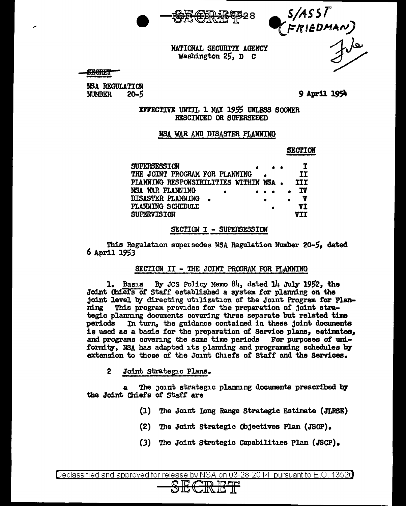



### NATIONAL SECURITY AGENCY Washington 25, D C

**SECRET** 

NSA REGULATION  $20 - 5$ **NUMBER** 

9 April 1954

EFFECTIVE UNTIL 1 MAY 1955 UNLESS SOONER RESCINDED OR SUPERSEDED

### NSA WAR AND DISASTER PLANNING

**SECTION** 

| <b>SUPERSESSION</b>                   |  |  |     |
|---------------------------------------|--|--|-----|
| THE JOINT PROGRAM FOR PLANNING        |  |  | ΙT  |
| PLANNING RESPONSIBILITIES WITHIN NSA. |  |  | III |
| NSA WAR PLANNING                      |  |  | Iν  |
| DISASTER PLANNING                     |  |  | v   |
| PLANNING SCHEDULE                     |  |  | VT  |
| <b>SUPERVISION</b>                    |  |  | VTT |

### SECTION I - SUPERSESSION

This Regulation supersedes NSA Regulation Number 20-5, dated 6 April 1953

### SECTION II - THE JOINT PROGRAM FOR PLANNING

1. Basıs By JCS Policy Memo  $84$ , dated 14 July 1952, the Joint Chief's of Staff established a system for planning on the joint level by directing utilization of the Joint Program for Planning This program provides for the preparation of joint strategic planning documents covering three separate but related time In turn, the guidance contained in these joint documents periods is used as a basis for the preparation of Service plans, estimates, and programs covering the same time periods For purposes of uniformity, NSA has adapted its planning and programming schedules by extension to those of the Joint Chiefs of Staff and the Services.

 $\overline{2}$ Joint Strategic Plans.

The joint strategic planning documents prescribed by the Joint Chiefs of Staff are

- (1) The Joint Long Range Strategic Estimate (JLRSE)
- (2) The Joint Strategic Objectives Plan (JSOP).
- (3) The Joint Strategic Capabilities Plan (JSCP).

Declassified and approved for release by NSA on 03-28-2014 pursuant to E.O. 13526

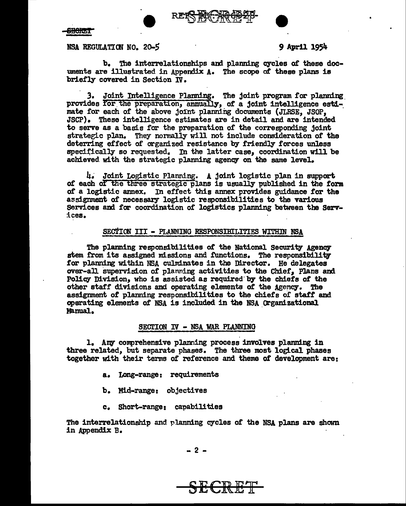

**SBORT** 

NSA REGULATION NO. 20-5<br>
9 April 1954

b. The interrelationships and planning cycles of these documents are illustrated in Appendix A. The scope of these plans is briefly covered in Section IV.

3. Joint Intelligence Flaming. The joint program for planning\_ provides for the preparation, annually, of a joint intelligence estimate for each of the above joint planning documents (JLRSE, JSOP, JSCP). These intelligence estimates are in detail and are intended to serve as a basis for the preparation of the corresponding joint strategic plan. They normally will not include consideration of the deterring effect of organized resistance by friendly forces unless specifically so requested. In the latter case, coordination will be achieved with the strategic planning agency on the same level.

4. Joint Logistic Planning. A joint logistic plan in support of each of the three strategic plans is usually published in the form of a logistic annex. In effect this annex provides guidance for the assignment of necessary logistic responsibilities to the various Services and for coordination of logistics planning between the Serv-:lces.

### SECTION III - PLANMING RESPONSIBILITIES WITHIN NSA

The planning responsibilities of the National Security Agency stem from its assigned missions and functions. The responsibility for planning within NSA culminates in the Director. He delegates over-all supervision of planning activities to the Chief. Plans and Policy Division, who is assisted as required by the chiefs of the other staff divisions and operating elements of the Agency. The assignment of planning responsibilities to the chiefs or staff and operating elements of NSA is included in the NSA Organizational Manual.

### SECTION IV - NSA WAR PLANNING

1. Any comprehensive planning process involves planning in three related, but separate phases. The three most logical phases together with their tenns of reference and theme of development are:

- a. Long-range: requirements
- b. Mill-range: objectives
- c. Short-range: capabilities

The interrelationship and planning cycles of the NSA plans are shown in Appendix B.

SECRET

- 2 -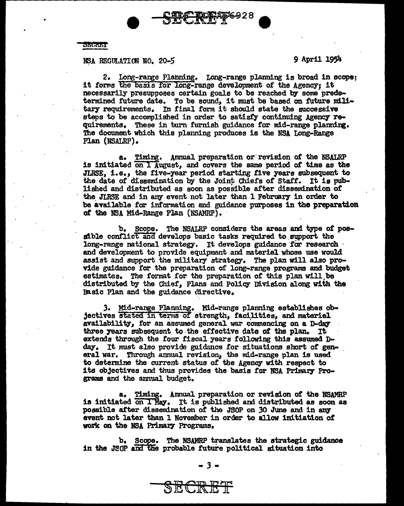

### **SECRET**

# NSA REGULATION NO. 20-5 9 April 1954

2. Long-range Planning. tong-range planning is broad in scope; it forms the basis for long-range development of the Agency; it necessarily presupposes certain goals to be reached by some predetermined future date. To be sound, it must be based on future military requirements. In final form it should state the successive steps to be accomplished in order to satisfy continuing Agency requirements. These in turn furnish guidance for mid-range planning. The document which this planning produces is the NSA Long-Range Plan (NSALRP).

a. Timing. Annual preparation or· revision of the NSALRP is initiated on 1 August, and covers the same period. *ot* time as the JLRSE, i.e., the five-year period starting five 7ears subsequent to the date of dissemination by the Joint Chiefs of Staff. It is published and distributed as soon as possible after dissemination or the JLRSE and in any event not later than 1 February in order to be available for information and guidance purposes in the preparation of the NSA Mid-Range Plan (NSAMRP).

b. Scope. The NSALRP considers the areas and type of pos- sible conflict and develops basic tasks required to support the long-range national strategy. It develops guidance for research and development to provide equipment and materiel whose use would assist and support the military strategy. The plan will also provide guidance for the preparation of long-range programs and budget estimates. The format for the preparation or this plan will.be distributed by the Chief, Plans and Policy Division along with the Basic Plan and the guidance directive.

J. Mid-range Planning. Mid-range plarming establishes objectives stated in terms of strength, facilities, and materiel availability, for an assumed general war commencing on a D-day three years subsequent to the effective date of the plan. It extends through the four fiscal years following this assumed D-<br>day. It must also provide guidance for situations short of general war. Through annual revision, the mid-range plan is used to determine the current status of the Agency with respect to its objectives and thus provides the basis for NSA Primary Programs and the annual budget.

a. Timing. Annual preparation or revision of the NSAMRP is initiated on I May. It is published and distributed as soon as possible after dissemination of the JSOP on 30 June and in any event not later than l November in order to allow initiation of' work on the NSA Primary Programs.

b. Scope. The NSAMRP translates the strategic guidance in the JSOP and the probable future political situation into

SECRET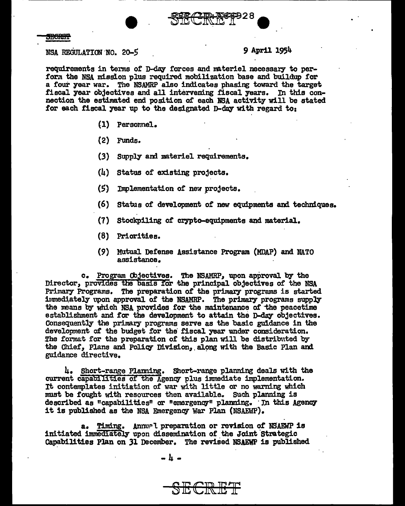

### **SECRET**

NSA REGULATION.NO. 20-5 *9* April 1954

requirements in terms of D-day forces and materiel necessary to perform the NSA mission plus required mobilization base and buildup for a four year war. The NSAMRP also indicates phasing toward the target fiscal year objectives and all intervening fiscal years. In this connection the estimated end position of each NSA activity will be stated for each fiscal year up to the designated D-day with regard to:

- (1) Personnel.
- (2) Funds.

(3) Supply ard materiel requirements.

- (4) status of existing projects.
- (5) Implementation of new projects.
- (6) Status of development of new equipments and techniques.
- (7) Stockpiling of crypto-equipments and material.
- (8) Priorities.
- (9) Mutual Defense Assistance Program (MDAP) and NATO assistance.

c. Program Objectives. The NSAMRP, upon approval by the Director, provides the basis for the principal objectives of the NSA Primary Programs. The preparation of the primary programs is started immediately upon approval of the NSAMRP. The primary programs supply the means by which NSA provides for the maintenance of the peacetime establishment and for the development to attain the D-day objectives. Consequently the primary programs serve as the basic guidance in the development of the budget for the fiscal year under consideration. The format for the preparation of this plan will be distributed by the Chief, Plans and Policy Division, along with the Basic Plan and guidance directive.

4. Short-range Planning. Short-range planning deals with the current capabilities of the Agency plus immediate implementation. It contemplates initiation of war with little or no warning which must be fought with resources then available. Such planning is described as "capabilities" or "emergency" planning. In this Agency it is published as the NSA Emergency War Plan (NSAEWP).

a. Timing. Annu.rl preparation or revision of NSAEWP is initiated immediately upon dissemination of the Joint Strategic Capabilities Plan on 31 December. The revised NSAEWP is published

SECRET

-4-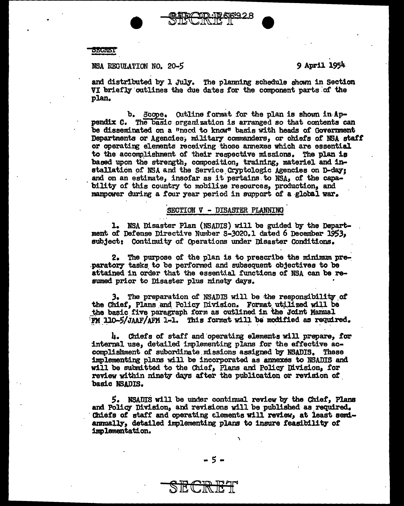SECRET

NSA REGULATION NO. 20-5

9 April 1954

and distributed by 1 July. The planning schedule shown in Section VI briefly outlines the due dates for the component parts of the plan.

b. Scope. Outline format for the plan is shown in Appendix C. The basic organization is arranged so that contents can be disseminated on a "necd to know" basis with heads of Government Departments or Agencies, military commanders, or chiefs of NSA staff or operating elements receiving those annexes which are essential to the accomplishment of their respective missions. The plan is based upon the strength, composition, training, material and installation of NSA and the Service Cryptologic Agencies on D-day: and on an estimate, insofar as it pertains to NSA, of the capability of this country to mobilize resources, production, and mannower during a four year period in support of a global war.

### SECTION V - DISASTER PLANNING

1. NSA Disaster Plan (NSADIS) will be guided by the Department of Defense Directive Number S-3020.1 dated 6 December 1953, subject: Continuity of Operations under Disaster Conditions.

2. The purpose of the plan is to prescribe the minimum preparatory tasks to be performed and subsequent objectives to be attained in order that the essential functions of NSA can be resumed prior to Disaster plus ninety days.

3. The preparation of NSADIS will be the responsibility of the Chief, Plans and Policy Division. Format utilized will be the basic five paragraph form as outlined in the Joint Mamual FM 110-5/JAAF/AFM 1-1. This format will be modified as required.

4. Chiefs of staff and operating elements will prepare, for internal use, detailed implementing plans for the effective accomplishment of subordinate missions assigned by NSADIS. These implementing plans will be incorporated as annexes to NSADIS and will be submitted to the Chief, Plans and Policy Division, for review within ninety days after the publication or revision of basic NSADIS.

5. NSADIS will be under continual review by the Chief, Plans and Policy Division, and revisions will be published as required. Chiefs of staff and operating alements will review, at least semiannually, detailed implementing plans to insure feasibility of implementation.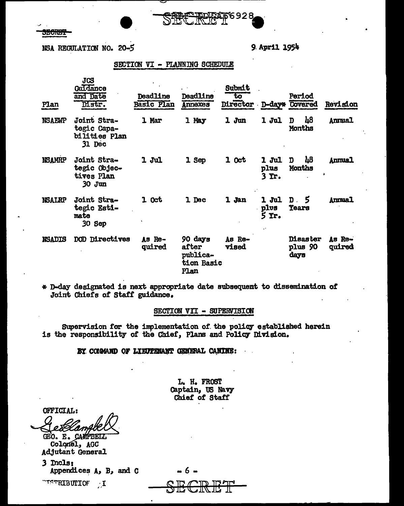a matang

NSA REGULATION NO. 20-5

9 April 1954

### SECTION VI - PLANNING SCHEDULE

| Plan          | JCS<br>Guidance<br>and Date<br>Distr.                 | Deadline<br>Basic Plan | Deadline<br>Annexes                                | Submit<br>to<br>Director D-day* Covered |                                     | Period                                       | Revision           |
|---------------|-------------------------------------------------------|------------------------|----------------------------------------------------|-----------------------------------------|-------------------------------------|----------------------------------------------|--------------------|
| <b>NSAEWP</b> | Joint Stra-<br>tegic Capa-<br>bilities Plan<br>31 Dec | 1 Mar                  | 1 May                                              | 1 Jun                                   | 1 Jul                               | $\mu$ 8<br>D<br>Months                       | <b>Annual</b>      |
| <b>NSAMRP</b> | Joint Stra-<br>tegic Objec-<br>tives Plan<br>30 Jun   | 1 Jul                  | 1 Sep                                              | 1 Oct                                   | 1 Jul<br>plus<br>3 Yr.              | $\mu$ <sub>8</sub><br>$\mathbf{D}$<br>Months | <b>Annual</b><br>٠ |
| <b>NSALRP</b> | Joint Stra-<br>tegic Esti-<br>mate<br>30 Sep          | 1 Oct                  | 1 Dec                                              | 1 Jan                                   | 1 Jul<br>plvs<br>$5$ Yr.<br>$\cdot$ | 5 D<br><b>Tears</b>                          | Annual             |
| <b>NSADIS</b> | DOD Directives                                        | As Re-<br>quired       | 90 days<br>after<br>publica-<br>tion Basic<br>Plan | As Re-<br><b>vised</b>                  |                                     | <b>Disaster</b><br>plus 90<br>days           | Аз Кө-<br>quired   |

\* D-day designated is next appropriate date subsequent to dissemination of Joint Chiefs of Staff guidance.

## SECTION VII - SUPERVISION

Supervision for the implementation of the policy established herein is the responsibility of the Chief, Plans and Policy Division.

BY COMMAND OF LIEUTEMANT GENERAL CANINE:

L. H. FROST Captain, US Navy Chief of Staff

OFFICIAL:

GEO. E. CAMPBELL Colonel, AGC Adjutant General

3 Incls: Appendices  $A$ ,  $B$ , and  $C$ 

I NOTIBUTION I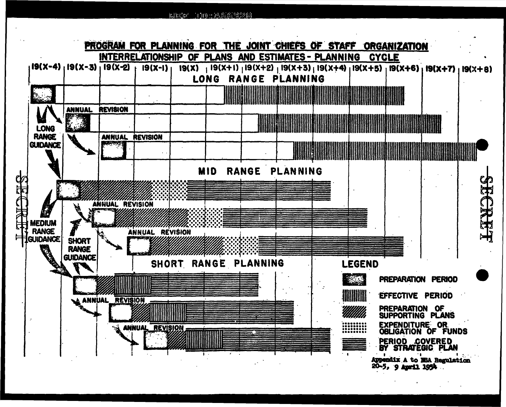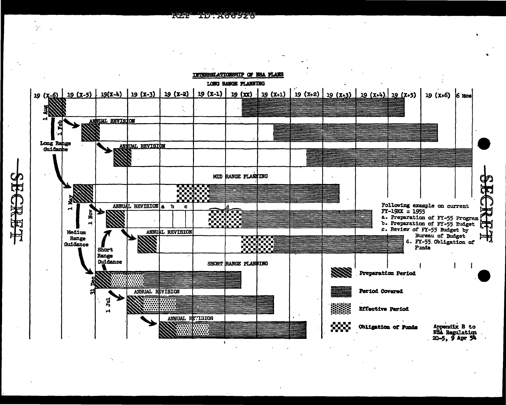

<u> 1999 - Albany Standard Brogher</u>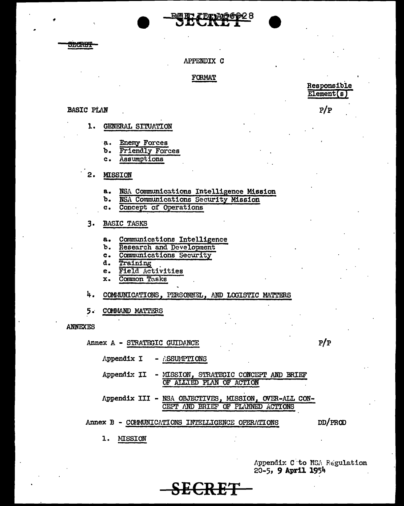315<del>6337</del>

### APPENDIX C

### **FORMAT**

### **BASIC PLAN**

- 1. **GENERAL SITUATION** 
	- $a.$ **Enemy Forces**
	- **Friendly Forces** ъ.
	- $\mathbf{c}$ . Assumptions
- $2.$ **MISSION** 
	- $a<sub>1</sub>$ NSA Communications Intelligence Mission
	- NSA Communications Security Mission b.
	- Concept of Operations  $\mathbf{c}$ .

### $3.$ **BASIC TASKS**

- Communications Intelligence  $\ddot{\mathbf{a}}$ .
- Research and Development Ъ.
- Communications Security  $c<sub>1</sub>$
- Training d.
- Field Activities e.
- Common Tasks x.

4. COMMUNICATIONS, PERSONNEL, AND LOGISTIC MATTERS

 $i$ SSUMPTIONS

Annex B - COMMUNICATIONS INTELLIGENCE OPERATIONS

- MISSION, STRATEGIC CONCEPT AND BRIEF

CEPT AND BRIEF OF PLANNED ACTIONS

OF ALLIED PLAN OF ACTION

Appendix III - NSA OBJECTIVES, MISSION, OVER-ALL CON-

<del>RET SIDER</del>

 $5.$ COMMAND MATTERS

Appendix I

Appendix II

**ANNEXES** 

Annex A - STRATEGIC GUIDANCE

 $P/P$ 

DD/PROD

ı. **MISSION** 

> Appendix C to NSA Regulation 20-5, 9 April 1954

Responsible Element(s

 $P/P$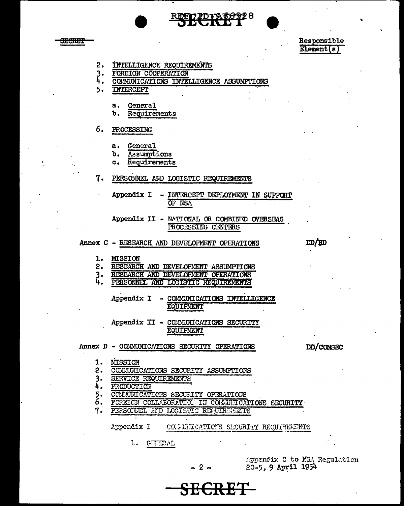

Responsible **Element(s)** 

- 2. INTELLIGENCE REQUIREMENTS
- $3.$ FOREIGN COOPERATION
- 4. COMMUNICATIONS INTELLIGENCE ASSUMPTIONS
- **INTERCEPT** 5.

<del>onanis</del>

- General а.
- Requirements Ъ.
- 6. PROCESSING
	- $\mathbf{a}$ . General
	- b. Assumptions
	- $\mathbf{c}$ . Requirements
- PERSONNEL AND LOGISTIC REQUIREMENTS 7.
	- Appendix I INTERCEPT DEPLOYMENT IN SUPPORT OF NSA
		- Appendix II MATIONAL OR COMBINED OVERSEAS PROCESSING CENTERS
- Annex C RESEARCH AND DEVELOPMENT OPERATIONS
	- 1. MISSION
	- $2.$ RESEARCH AND DEVELOPMENT ASSUMPTIONS
	- $3.$ RESEARCH AND DEVELOPMENT OPERATIONS
	- Ā. PERSONNEL AND LOGISTIC REQUIREMENTS
		- Appendix I COMMUNICATIONS INTELLIGENCE **EQUIPMENT**
		- Appendix II COMMUNICATIONS SECURITY **EQUIPMENT**
- Annex D COMMUNICATIONS SECURITY OPERATIONS

DD/COMSEC

DD/RD

- MISSION . 1.
	- $2.$ COMMUNICATIONS SECURITY ASSUMPTIONS
	- $3 -$ **SERVICE REQUIREMENTS**
	- 4. PRODUCTION
- $\overline{\xi}$ . COMMUNICATIONS SECURITY OPERATIONS
- FOREIGN COLLABORATIC. IN COLLUITOATIONS SECURITY
- $7.$ PERSONNEL AND LOGISTIC REQUIREMENTS

Appendix I COLUMNOATIONS SECURITY REQUIREMENTS

 $1.$ GEHERAL

Appendix C to NSA Regulation 20-5, 9 April 1954

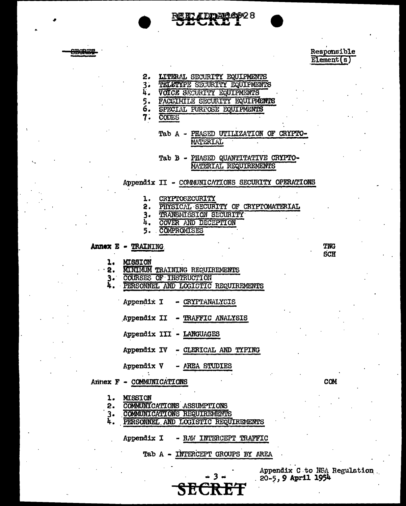

LITERAL SECURITY EQUIPMENTS

**4DDAR6928** 

- $2.$ 3. TELETYPE SECURITY EQUIPMENTS
- ħ. VOICE SECURITY EQUIPMENTS
- FACSIMILE SECURITY EQUIPMENTS 5.
- 6. SPECIAL PURPOSE EQUIPMENTS

7. **CODES** 

> Tab A - PHASED UTILIZATION OF CRYPTO-**MATERIAL**

Tab B - PHASED QUANTITATIVE CRYPTO-MATERIAL REQUIREMENTS

Appendix II - COMMUNICATIONS SECURITY OPERATIONS

- CRYPTOSECURITY l.
- $2.$ PHYSICAL SECURITY OF CRYPTOMATERIAL
- $3.$ TRANSMISSION SECURITY
- 4. COVER AND DECEPTION
- COMPROMISES 5.

### Annex E - TRAINING

- $\mathbf{1.}$ **MISSION**
- **MINIMUM TRAINING REQUIREMENTS**  $2.$
- 3. COURSES OF INSTRUCTION
- Ā. PERSONNEL AND LOGISTIC REQUIREMENTS
	- Appendix I - CRYPTANALYSIS
	- Appendix II TRAFFIC ANALYSIS
	- Appendix III LANGUAGES
	- Appendix IV CLERICAL AND TYPING
	- Appendix V AREA STUDIES

Arinex F - COMMUNICATIONS

- **MISSION**  $\mathbf{1}$ .
- COMMUNICATIONS ASSUMPTIONS 2.
- $3.$ COMMUNICATIONS REQUIREMENTS
- 4. PERSONNEL AND LOGISTIC REQUIREMENTS
	- RAW INTERCEPT TRAFFIC Appendix I

Tab A - INTERCEPT GROUPS BY AREA

<del>ecret</del>

Appendix C to NSA Regulation . 20-5, 9 April 1954

Responsible

Element(s)

**TNG SCH** 

**COM**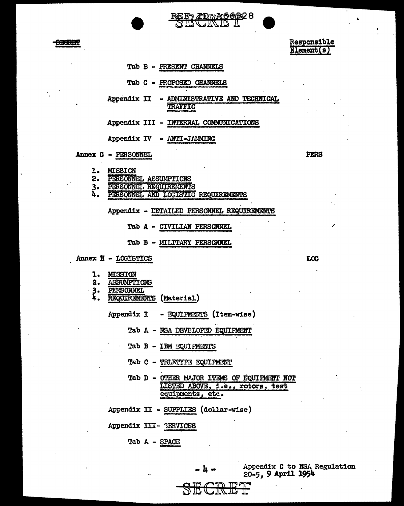

Responsible Element[s)

- Tab B PRESENT CHANNELS
- Tab *C* -.PROPOSED CHANNELS
- Appendix II ADMINISTRATIVE AND TECHNICAL **TRAFFIC**

ÆDm<del>A662</del>28 الہ کا کیارہ

- Appendix III INTERNAL COMMUNICATIONS
- Appendix IV ANTI-JAMING

Annex G • PERSONNEL

- 
- 1. MISSICN<br>2. PERSONN PERSONNEL ASSUMPTIONS
- 
- 3. PERSONNEL REQUIREMENTS PERSONNEL AND LOGISTIC REQUIREMENTS

Appendix - DETAILED PERSONNEL REQUIREMENTS

- Tab A CIVILIAN PERSONNEL
- Tab B MILITARY PERSONNEL
- Annex H LOGISTICS LOG
	- 1. MISSION<br>2. ASSUMPT
	- 2. ASSUMPTIONS<br>3. PERSONNEL<br>4. REQUIREMENT
	-
	- REQUIREMENTS (Material)
		- Appendix I EQUIPMEM'S (Item-wise)
			- Tab A NSA DEVELOPED EQUIPMENT
			- Tab B IBM EQUIPMENTS
			- Tab C TELETYPE EQUIPMENT
			- Tab D OTHER MAJOR ITEMS OF EQUIPMENT NOT LISTED ABOVE, i.e., rotors, test equipments, etc.
		- Appendix II SUPPLIES (dollar-wise)
		- Appendix III- GERVICES
			- Tab A SPACE

SECRET<sub>I</sub>

Appendix C to NSA Regulation 20-5, 9 April 1954

PERS